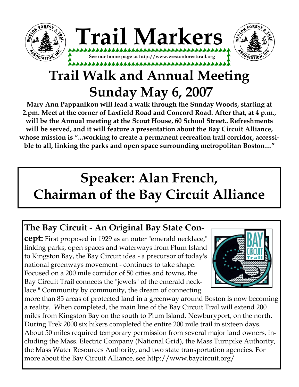



# **Trail Walk and Annual Meeting Sunday May 6, 2007**

**Mary Ann Pappanikou will lead a walk through the Sunday Woods, starting at 2.pm. Meet at the corner of Laxfield Road and Concord Road. After that, at 4 p.m., will be the Annual meeting at the Scout House, 60 School Street.. Refreshments will be served, and it will feature a presentation about the Bay Circuit Alliance, whose mission is "...working to create a permanent recreation trail corridor, accessible to all, linking the parks and open space surrounding metropolitan Boston…"**

# **Speaker: Alan French, Chairman of the Bay Circuit Alliance**

# **The Bay Circuit - An Original Bay State Con-**

**cept:** First proposed in 1929 as an outer "emerald necklace," linking parks, open spaces and waterways from Plum Island to Kingston Bay, the Bay Circuit idea - a precursor of today's national greenways movement - continues to take shape. Focused on a 200 mile corridor of 50 cities and towns, the Bay Circuit Trail connects the "jewels" of the emerald necklace." Community by community, the dream of connecting



more than 85 areas of protected land in a greenway around Boston is now becoming a reality. When completed, the main line of the Bay Circuit Trail will extend 200 miles from Kingston Bay on the south to Plum Island, Newburyport, on the north. During Trek 2000 six hikers completed the entire 200 mile trail in sixteen days. About 50 miles required temporary permission from several major land owners, including the Mass. Electric Company (National Grid), the Mass Turnpike Authority, the Mass Water Resources Authority, and two state transportation agencies. For more about the Bay Circuit Alliance, see http://www.baycircuit.org/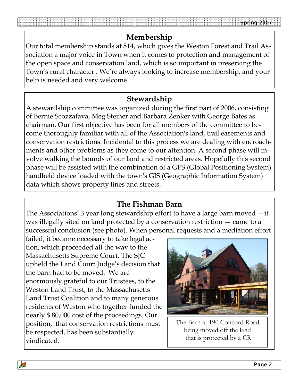### **Membership**

Our total membership stands at 514, which gives the Weston Forest and Trail Association a major voice in Town when it comes to protection and management of the open space and conservation land, which is so important in preserving the Town's rural character . We're always looking to increase membership, and your help is needed and very welcome.

#### **Stewardship**

A stewardship committee was organized during the first part of 2006, consisting of Bernie Scozzafava, Meg Steiner and Barbara Zenker with George Bates as chairman. Our first objective has been for all members of the committee to become thoroughly familiar with all of the Association's land, trail easements and conservation restrictions. Incidental to this process we are dealing with encroachments and other problems as they come to our attention. A second phase will involve walking the bounds of our land and restricted areas. Hopefully this second phase will be assisted with the combination of a GPS (Global Positioning System) handheld device loaded with the town's GIS (Geographic Information System) data which shows property lines and streets.

#### **The Fishman Barn**

The Associations' 3 year long stewardship effort to have a large barn moved —it was illegally sited on land protected by a conservation restriction — came to a successful conclusion (see photo). When personal requests and a mediation effort

failed, it became necessary to take legal action, which proceeded all the way to the Massachusetts Supreme Court. The SJC upheld the Land Court Judge's decision that the barn had to be moved. We are enormously grateful to our Trustees, to the Weston Land Trust, to the Massachusetts Land Trust Coalition and to many generous residents of Weston who together funded the nearly \$ 80,000 cost of the proceedings. Our position, that conservation restrictions must be respected, has been substantially vindicated.



The Barn at 190 Concord Road being moved off the land that is protected by a CR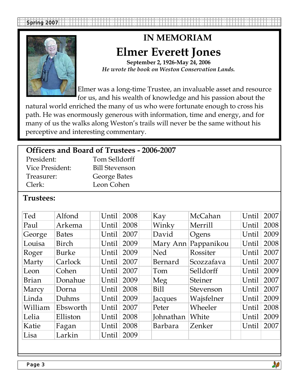

# **IN MEMORIAM Elmer Everett Jones**

**September 2, 1926-May 24, 2006**  *He wrote the book on Weston Conservation Lands.*

Elmer was a long-time Trustee, an invaluable asset and resource for us, and his wealth of knowledge and his passion about the

natural world enriched the many of us who were fortunate enough to cross his path. He was enormously generous with information, time and energy, and for many of us the walks along Weston's trails will never be the same without his perceptive and interesting commentary.

| Officers and Board of Trustees - 2006-2007 |  |  |  |
|--------------------------------------------|--|--|--|
|--------------------------------------------|--|--|--|

| President:      | Tom Selldorff         |
|-----------------|-----------------------|
| Vice President: | <b>Bill Stevenson</b> |
| Treasurer:      | George Bates          |
| Clerk:          | Leon Cohen            |

#### **Trustees:**

| Ted          | Alfond       | Until | 2008 | Kay            | McCahan        | Until | 2007 |
|--------------|--------------|-------|------|----------------|----------------|-------|------|
| Paul         | Arkema       | Until | 2008 | Winky          | Merrill        | Until | 2008 |
| George       | <b>Bates</b> | Until | 2007 | David          | Ogens          | Until | 2009 |
| Louisa       | Birch        | Until | 2009 | Mary Ann       | Pappanikou     | Until | 2008 |
| Roger        | <b>Burke</b> | Until | 2009 | <b>Ned</b>     | Rossiter       | Until | 2007 |
| Marty        | Carlock      | Until | 2007 | Bernard        | Scozzafava     | Until | 2007 |
| Leon         | Cohen        | Until | 2007 | Tom            | Selldorff      | Until | 2009 |
| <b>Brian</b> | Donahue      | Until | 2009 | Meg            | <b>Steiner</b> | Until | 2007 |
| Marcy        | Dorna        | Until | 2008 | <b>Bill</b>    | Stevenson      | Until | 2007 |
| Linda        | Duhms        | Until | 2009 | Jacques        | Wajsfelner     | Until | 2009 |
| William      | Ebsworth     | Until | 2007 | Peter          | Wheeler        | Until | 2008 |
| Lelia        | Elliston     | Until | 2008 | Johnathan      | White          | Until | 2009 |
| Katie        | Fagan        | Until | 2008 | <b>Barbara</b> | Zenker         | Until | 2007 |
| Lisa         | Larkin       | Until | 2009 |                |                |       |      |

**AB**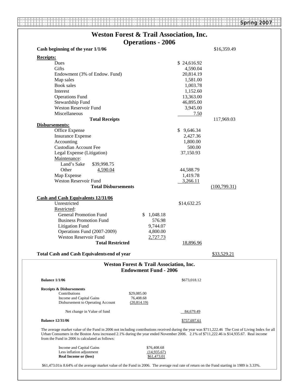|                                                       | <b>Weston Forest &amp; Trail Association, Inc.</b>                                                                                                                                                                                                                                             |
|-------------------------------------------------------|------------------------------------------------------------------------------------------------------------------------------------------------------------------------------------------------------------------------------------------------------------------------------------------------|
| Cash beginning of the year 1/1/06                     | <b>Operations - 2006</b><br>\$16,359.49                                                                                                                                                                                                                                                        |
|                                                       |                                                                                                                                                                                                                                                                                                |
| <b>Receipts:</b>                                      |                                                                                                                                                                                                                                                                                                |
| Dues                                                  | \$24,616.92                                                                                                                                                                                                                                                                                    |
| Gifts                                                 | 4,590.04                                                                                                                                                                                                                                                                                       |
| Endowment (3% of Endow. Fund)                         | 20,814.19                                                                                                                                                                                                                                                                                      |
| Map sales                                             | 1,581.00                                                                                                                                                                                                                                                                                       |
| <b>Book</b> sales                                     | 1,003.78                                                                                                                                                                                                                                                                                       |
| Interest                                              | 1,152.60                                                                                                                                                                                                                                                                                       |
| <b>Operations Fund</b>                                | 13,363.00                                                                                                                                                                                                                                                                                      |
| Stewardship Fund                                      | 46,895.00                                                                                                                                                                                                                                                                                      |
| Weston Reservoir Fund                                 | 3,945.00                                                                                                                                                                                                                                                                                       |
| Miscellaneous                                         | 7.50                                                                                                                                                                                                                                                                                           |
| <b>Total Receipts</b>                                 | 117,969.03                                                                                                                                                                                                                                                                                     |
| Disbursements:                                        |                                                                                                                                                                                                                                                                                                |
| Office Expense                                        | \$9,646.34                                                                                                                                                                                                                                                                                     |
| <b>Insurance Expense</b>                              | 2,427.36                                                                                                                                                                                                                                                                                       |
| Accounting                                            | 1,800.00                                                                                                                                                                                                                                                                                       |
| <b>Custodian Account Fee</b>                          | 500.00                                                                                                                                                                                                                                                                                         |
| Legal Expense (Litigation)                            | 37,150.93                                                                                                                                                                                                                                                                                      |
| Maintenance:                                          |                                                                                                                                                                                                                                                                                                |
| Land's Sake<br>\$39,998.75                            |                                                                                                                                                                                                                                                                                                |
| Other<br>4,590.04                                     | 44,588.79                                                                                                                                                                                                                                                                                      |
| Map Expense                                           | 1,419.78                                                                                                                                                                                                                                                                                       |
| Weston Reservoir Fund                                 | 3,266.11                                                                                                                                                                                                                                                                                       |
| <b>Total Disbursements</b>                            | (100,799.31)                                                                                                                                                                                                                                                                                   |
|                                                       |                                                                                                                                                                                                                                                                                                |
| <b>Cash and Cash Equivalents 12/31/06</b>             |                                                                                                                                                                                                                                                                                                |
| Unrestricted                                          | \$14,632.25                                                                                                                                                                                                                                                                                    |
| Restricted:                                           |                                                                                                                                                                                                                                                                                                |
| <b>General Promotion Fund</b>                         | \$1,048.18                                                                                                                                                                                                                                                                                     |
| <b>Business Promotion Fund</b>                        | 576.98                                                                                                                                                                                                                                                                                         |
| <b>Litigation Fund</b>                                | 9,744.07                                                                                                                                                                                                                                                                                       |
| Operations Fund (2007-2009)                           | 4,800.00                                                                                                                                                                                                                                                                                       |
| <b>Weston Reservoir Fund</b>                          | 2,727.73                                                                                                                                                                                                                                                                                       |
| <b>Total Restricted</b>                               |                                                                                                                                                                                                                                                                                                |
|                                                       | 18,896.96                                                                                                                                                                                                                                                                                      |
|                                                       |                                                                                                                                                                                                                                                                                                |
|                                                       | \$33,529.21                                                                                                                                                                                                                                                                                    |
|                                                       | Weston Forest & Trail Association, Inc.                                                                                                                                                                                                                                                        |
| <b>Total Cash and Cash Equivalents end of year</b>    | <b>Endowment Fund - 2006</b>                                                                                                                                                                                                                                                                   |
| <b>Balance 1/1/06</b>                                 | \$673,018.12                                                                                                                                                                                                                                                                                   |
| <b>Receipts &amp; Disbursements</b>                   |                                                                                                                                                                                                                                                                                                |
| Contributions<br>\$29,085.00                          |                                                                                                                                                                                                                                                                                                |
| Income and Capital Gains<br>76,408.68                 |                                                                                                                                                                                                                                                                                                |
| Disbursement to Operating Account<br>(20, 814.19)     |                                                                                                                                                                                                                                                                                                |
| Net change in Value of fund                           | 84,679.49                                                                                                                                                                                                                                                                                      |
| <b>Balance 12/31/06</b>                               | \$757,697.61                                                                                                                                                                                                                                                                                   |
| from the Fund in 2006 is calculated as follows:       | The average market value of the Fund in 2006 not including contributions received during the year was \$711,222.46 The Cost of Living Index for all<br>Urban Consumers in the Boston Area increased 2.1% during the year ended November 2006. 2.1% of \$711,222.46 is \$14,935.67. Real income |
|                                                       |                                                                                                                                                                                                                                                                                                |
| Income and Capital Gains<br>Less inflation adjustment | \$76,408.68<br>(14,935.67)                                                                                                                                                                                                                                                                     |
| <b>Real Income or (loss)</b>                          | \$61,473.01                                                                                                                                                                                                                                                                                    |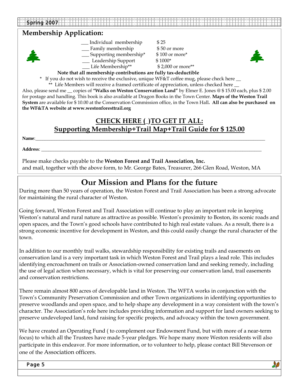#### **Membership Application:**



- \_\_\_ Individual membership \$ 25 \_\_\_ Family membership \$ 50 or more
- \_\_\_ Supporting membership\* \$ 100 or more\*
- Leadership Support \$1000\*
- \_\_\_ Life Membership\*\* \$ 2,000 or more\*\*



**Note that all membership contributions are fully tax-deductible**

\* If you do not wish to receive the exclusive, unique WF&T coffee mug, please check here \_\_

\*\* Life Members will receive a framed certificate of appreciation, unless checked here  $\_\_$ 

Also, please send me \_\_ copies of **"Walks on Weston Conservation Land"** by Elmer E. Jones @ \$ 15.00 each, plus \$ 2.00 for postage and handling. This book is also available at Dragon Books in the Town Center. **Maps of the Weston Trail System** are available for \$ 10.00 at the Conservation Commission office, in the Town Hall**. All can also be purchased on the WF&TA website at www.westonforesttrail.org** 

#### **CHECK HERE (**\_**)TO GET IT ALL: Supporting Membership+Trail Map+Trail Guide for \$ 125.00**

**Name**:\_\_\_\_\_\_\_\_\_\_\_\_\_\_\_\_\_\_\_\_\_\_\_\_\_\_\_\_\_\_\_\_\_\_\_\_\_\_\_\_\_\_\_\_\_\_\_\_\_\_\_\_\_\_\_\_\_\_\_\_\_\_\_\_\_\_\_\_\_\_\_\_\_\_\_\_\_\_\_\_\_\_\_\_\_\_\_\_\_\_\_\_\_\_\_\_\_

**Address**: \_\_\_\_\_\_\_\_\_\_\_\_\_\_\_\_\_\_\_\_\_\_\_\_\_\_\_\_\_\_\_\_\_\_\_\_\_\_\_\_\_\_\_\_\_\_\_\_\_\_\_\_\_\_\_\_\_\_\_\_\_\_\_\_\_\_\_\_\_\_\_\_\_\_\_\_\_\_\_\_\_\_\_\_\_\_\_\_\_\_\_\_\_

Please make checks payable to the **Weston Forest and Trail Association, Inc.** and mail, together with the above form, to Mr. George Bates, Treasurer, 266 Glen Road, Weston, MA

### **Our Mission and Plans for the future**

During more than 50 years of operation, the Weston Forest and Trail Association has been a strong advocate for maintaining the rural character of Weston.

Going forward, Weston Forest and Trail Association will continue to play an important role in keeping Weston's natural and rural nature as attractive as possible. Weston's proximity to Boston, its scenic roads and open spaces, and the Town's good schools have contributed to high real estate values. As a result, there is a strong economic incentive for development in Weston, and this could easily change the rural character of the town.

In addition to our monthly trail walks, stewardship responsibility for existing trails and easements on conservation land is a very important task in which Weston Forest and Trail plays a lead role. This includes identifying encroachment on trails or Association-owned conservation land and seeking remedy, including the use of legal action when necessary, which is vital for preserving our conservation land, trail easements and conservation restrictions.

There remain almost 800 acres of developable land in Weston. The WFTA works in conjunction with the Town's Community Preservation Commission and other Town organizations in identifying opportunities to preserve woodlands and open space, and to help shape any development in a way consistent with the town's character. The Association's role here includes providing information and support for land owners seeking to preserve undeveloped land, fund raising for specific projects, and advocacy within the town government.

We have created an Operating Fund ( to complement our Endowment Fund, but with more of a near-term focus) to which all the Trustees have made 5-year pledges. We hope many more Weston residents will also participate in this endeavor. For more information, or to volunteer to help, please contact Bill Stevenson or one of the Association officers.

Page 5